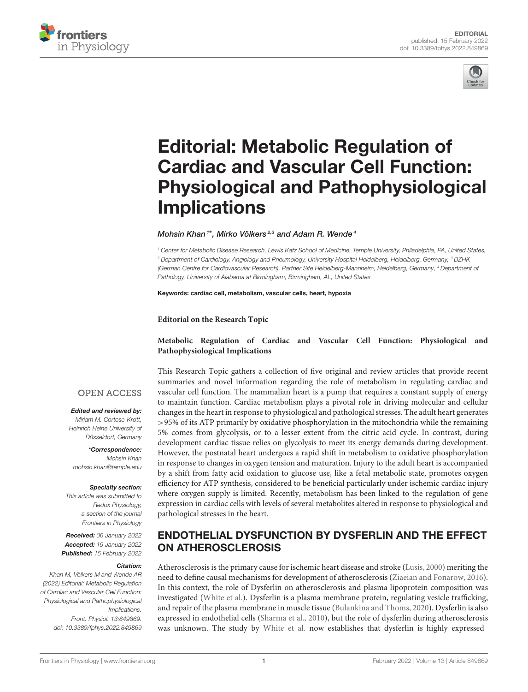



# Editorial: Metabolic Regulation of Cardiac and Vascular Cell Function: [Physiological and Pathophysiological](https://www.frontiersin.org/articles/10.3389/fphys.2022.849869/full) Implications

Mohsin Khan<sup>1\*</sup>, Mirko Völkers<sup>2,3</sup> and Adam R. Wende<sup>4</sup>

<sup>1</sup> Center for Metabolic Disease Research, Lewis Katz School of Medicine, Temple University, Philadelphia, PA, United States, <sup>2</sup> Department of Cardiology, Angiology and Pneumology, University Hospital Heidelberg, Heidelberg, Germany, <sup>3</sup> DZHK (German Centre for Cardiovascular Research), Partner Site Heidelberg-Mannheim, Heidelberg, Germany, <sup>4</sup> Department of Pathology, University of Alabama at Birmingham, Birmingham, AL, United States

Keywords: cardiac cell, metabolism, vascular cells, heart, hypoxia

**Editorial on the Research Topic**

#### **[Metabolic Regulation of Cardiac and Vascular Cell Function: Physiological and](https://www.frontiersin.org/research-topics/16073/metabolic-regulation-of-cardiac-and-vascular-cell-function-physiological-and-pathophysiological-impl) Pathophysiological Implications**

This Research Topic gathers a collection of five original and review articles that provide recent summaries and novel information regarding the role of metabolism in regulating cardiac and vascular cell function. The mammalian heart is a pump that requires a constant supply of energy to maintain function. Cardiac metabolism plays a pivotal role in driving molecular and cellular changes in the heart in response to physiological and pathological stresses. The adult heart generates >95% of its ATP primarily by oxidative phosphorylation in the mitochondria while the remaining 5% comes from glycolysis, or to a lesser extent from the citric acid cycle. In contrast, during development cardiac tissue relies on glycolysis to meet its energy demands during development. However, the postnatal heart undergoes a rapid shift in metabolism to oxidative phosphorylation in response to changes in oxygen tension and maturation. Injury to the adult heart is accompanied by a shift from fatty acid oxidation to glucose use, like a fetal metabolic state, promotes oxygen efficiency for ATP synthesis, considered to be beneficial particularly under ischemic cardiac injury where oxygen supply is limited. Recently, metabolism has been linked to the regulation of gene expression in cardiac cells with levels of several metabolites altered in response to physiological and pathological stresses in the heart.

#### ENDOTHELIAL DYSFUNCTION BY DYSFERLIN AND THE EFFECT ON ATHEROSCLEROSIS

Atherosclerosis is the primary cause for ischemic heart disease and stroke [\(Lusis, 2000\)](#page-2-0) meriting the need to define causal mechanisms for development of atherosclerosis [\(Ziaeian and Fonarow, 2016\)](#page-2-1). In this context, the role of Dysferlin on atherosclerosis and plasma lipoprotein composition was investigated [\(White et al.\)](https://doi.org/10.3389/fphys.2021.675322). Dysferlin is a plasma membrane protein, regulating vesicle trafficking, and repair of the plasma membrane in muscle tissue [\(Bulankina and Thoms, 2020\)](#page-2-2). Dysferlin is also expressed in endothelial cells [\(Sharma et al., 2010\)](#page-2-3), but the role of dysferlin during atherosclerosis was unknown. The study by [White et al.](https://doi.org/10.3389/fphys.2021.675322) now establishes that dysferlin is highly expressed

#### **OPEN ACCESS**

Edited and reviewed by: Miriam M. Cortese-Krott, Heinrich Heine University of Düsseldorf, Germany

\*Correspondence: Mohsin Khan [mohsin.khan@temple.edu](mailto:mohsin.khan@temple.edu)

#### Specialty section:

This article was submitted to Redox Physiology, a section of the journal Frontiers in Physiology

Received: 06 January 2022 Accepted: 19 January 2022 Published: 15 February 2022

#### Citation:

Khan M, Völkers M and Wende AR (2022) Editorial: Metabolic Regulation of Cardiac and Vascular Cell Function: Physiological and Pathophysiological Implications. Front. Physiol. 13:849869. doi: [10.3389/fphys.2022.849869](https://doi.org/10.3389/fphys.2022.849869)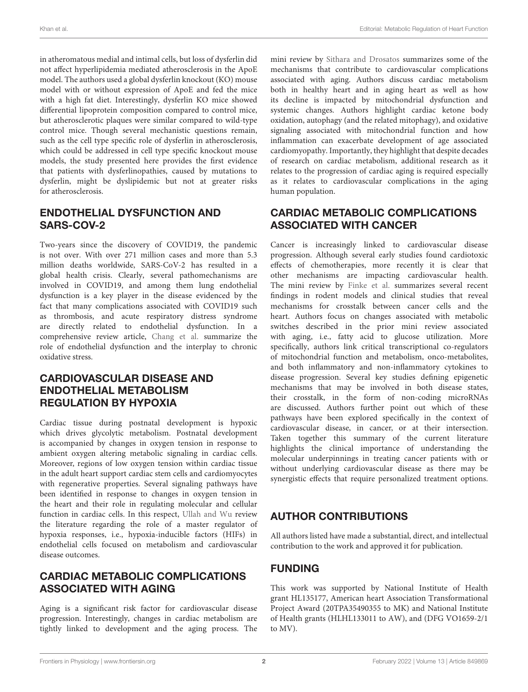in atheromatous medial and intimal cells, but loss of dysferlin did not affect hyperlipidemia mediated atherosclerosis in the ApoE model. The authors used a global dysferlin knockout (KO) mouse model with or without expression of ApoE and fed the mice with a high fat diet. Interestingly, dysferlin KO mice showed differential lipoprotein composition compared to control mice, but atherosclerotic plaques were similar compared to wild-type control mice. Though several mechanistic questions remain, such as the cell type specific role of dysferlin in atherosclerosis, which could be addressed in cell type specific knockout mouse models, the study presented here provides the first evidence that patients with dysferlinopathies, caused by mutations to dysferlin, might be dyslipidemic but not at greater risks for atherosclerosis.

#### ENDOTHELIAL DYSFUNCTION AND SARS-COV-2

Two-years since the discovery of COVID19, the pandemic is not over. With over 271 million cases and more than 5.3 million deaths worldwide, SARS-CoV-2 has resulted in a global health crisis. Clearly, several pathomechanisms are involved in COVID19, and among them lung endothelial dysfunction is a key player in the disease evidenced by the fact that many complications associated with COVID19 such as thrombosis, and acute respiratory distress syndrome are directly related to endothelial dysfunction. In a comprehensive review article, [Chang et al.](https://doi.org/10.3389/fphys.2020.605908) summarize the role of endothelial dysfunction and the interplay to chronic oxidative stress.

### CARDIOVASCULAR DISEASE AND ENDOTHELIAL METABOLISM REGULATION BY HYPOXIA

Cardiac tissue during postnatal development is hypoxic which drives glycolytic metabolism. Postnatal development is accompanied by changes in oxygen tension in response to ambient oxygen altering metabolic signaling in cardiac cells. Moreover, regions of low oxygen tension within cardiac tissue in the adult heart support cardiac stem cells and cardiomyocytes with regenerative properties. Several signaling pathways have been identified in response to changes in oxygen tension in the heart and their role in regulating molecular and cellular function in cardiac cells. In this respect, [Ullah and Wu](https://doi.org/10.3389/fphys.2021.670653) review the literature regarding the role of a master regulator of hypoxia responses, i.e., hypoxia-inducible factors (HIFs) in endothelial cells focused on metabolism and cardiovascular disease outcomes.

#### CARDIAC METABOLIC COMPLICATIONS ASSOCIATED WITH AGING

Aging is a significant risk factor for cardiovascular disease progression. Interestingly, changes in cardiac metabolism are tightly linked to development and the aging process. The mini review by [Sithara and Drosatos](https://doi.org/10.3389/fphys.2021.669497) summarizes some of the mechanisms that contribute to cardiovascular complications associated with aging. Authors discuss cardiac metabolism both in healthy heart and in aging heart as well as how its decline is impacted by mitochondrial dysfunction and systemic changes. Authors highlight cardiac ketone body oxidation, autophagy (and the related mitophagy), and oxidative signaling associated with mitochondrial function and how inflammation can exacerbate development of age associated cardiomyopathy. Importantly, they highlight that despite decades of research on cardiac metabolism, additional research as it relates to the progression of cardiac aging is required especially as it relates to cardiovascular complications in the aging human population.

#### CARDIAC METABOLIC COMPLICATIONS ASSOCIATED WITH CANCER

Cancer is increasingly linked to cardiovascular disease progression. Although several early studies found cardiotoxic effects of chemotherapies, more recently it is clear that other mechanisms are impacting cardiovascular health. The mini review by [Finke et al.](https://doi.org/10.3389/fphys.2021.729713) summarizes several recent findings in rodent models and clinical studies that reveal mechanisms for crosstalk between cancer cells and the heart. Authors focus on changes associated with metabolic switches described in the prior mini review associated with aging, i.e., fatty acid to glucose utilization. More specifically, authors link critical transcriptional co-regulators of mitochondrial function and metabolism, onco-metabolites, and both inflammatory and non-inflammatory cytokines to disease progression. Several key studies defining epigenetic mechanisms that may be involved in both disease states, their crosstalk, in the form of non-coding microRNAs are discussed. Authors further point out which of these pathways have been explored specifically in the context of cardiovascular disease, in cancer, or at their intersection. Taken together this summary of the current literature highlights the clinical importance of understanding the molecular underpinnings in treating cancer patients with or without underlying cardiovascular disease as there may be synergistic effects that require personalized treatment options.

# AUTHOR CONTRIBUTIONS

All authors listed have made a substantial, direct, and intellectual contribution to the work and approved it for publication.

# FUNDING

This work was supported by National Institute of Health grant HL135177, American heart Association Transformational Project Award (20TPA35490355 to MK) and National Institute of Health grants (HLHL133011 to AW), and (DFG VO1659-2/1 to MV).